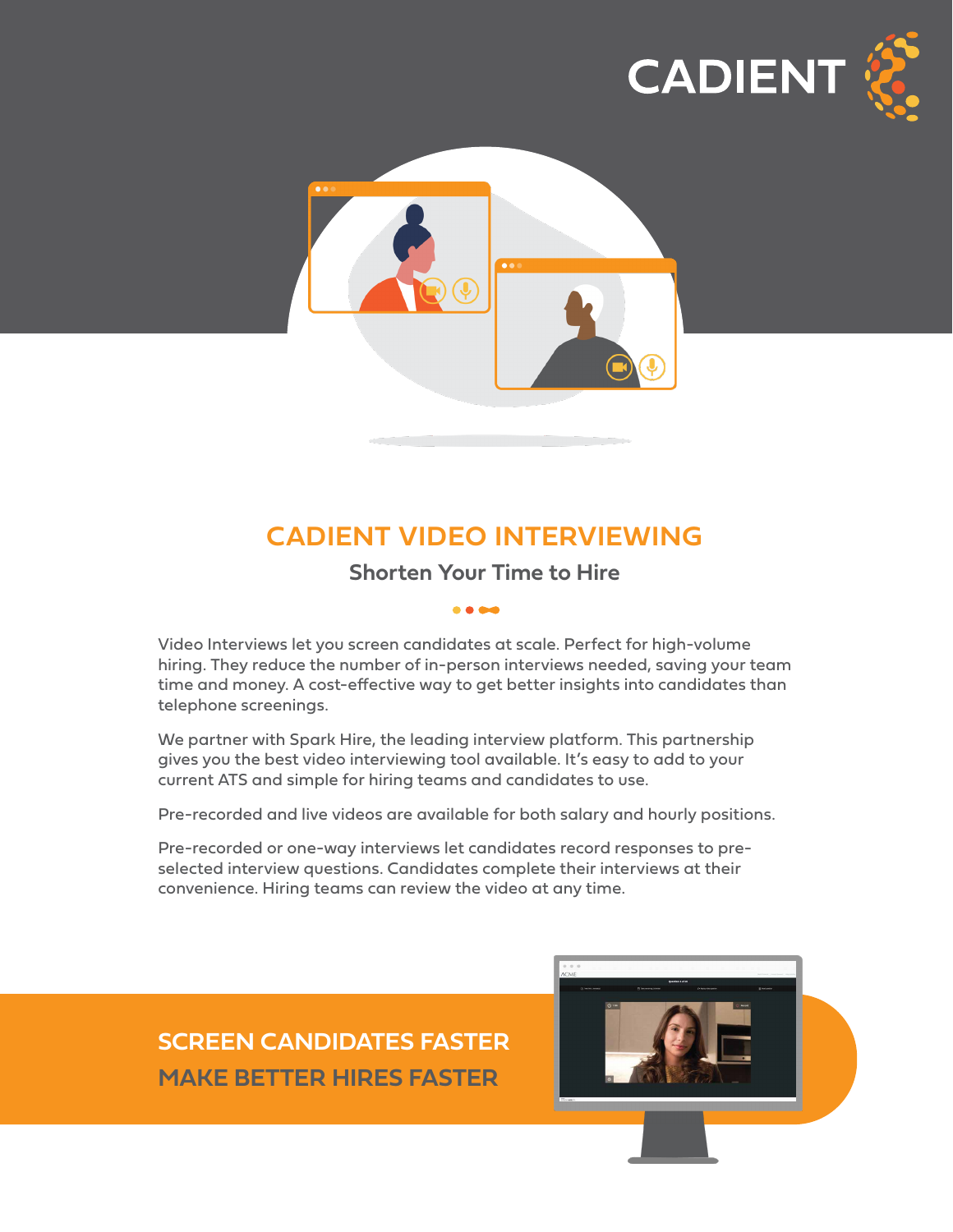



# **CADIENT VIDEO INTERVIEWING**

### **Shorten Your Time to Hire**

Video Interviews let you screen candidates at scale. Perfect for high-volume hiring. They reduce the number of in-person interviews needed, saving your team time and money. A cost-effective way to get better insights into candidates than telephone screenings.

We partner with Spark Hire, the leading interview platform. This partnership gives you the best video interviewing tool available. It's easy to add to your current ATS and simple for hiring teams and candidates to use.

Pre-recorded and live videos are available for both salary and hourly positions.

Pre-recorded or one-way interviews let candidates record responses to preselected interview questions. Candidates complete their interviews at their convenience. Hiring teams can review the video at any time.

# **SCREEN CANDIDATES FASTER MAKE BETTER HIRES FASTER**